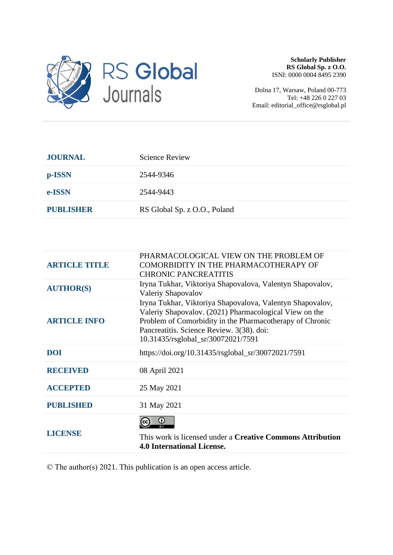

**Scholarly Publisher RS Global Sp. z O.O.** ISNI: 0000 0004 8495 2390

Dolna 17, Warsaw, Poland 00-773 Tel: +48 226 0 227 03 Email: editorial\_office@rsglobal.pl

| <b>JOURNAL</b>   | <b>Science Review</b>        |
|------------------|------------------------------|
| p-ISSN           | 2544-9346                    |
| e-ISSN           | 2544-9443                    |
| <b>PUBLISHER</b> | RS Global Sp. z O.O., Poland |

| <b>ARTICLE TITLE</b> | PHARMACOLOGICAL VIEW ON THE PROBLEM OF<br>COMORBIDITY IN THE PHARMACOTHERAPY OF<br><b>CHRONIC PANCREATITIS</b>                                                                                                                                                     |  |
|----------------------|--------------------------------------------------------------------------------------------------------------------------------------------------------------------------------------------------------------------------------------------------------------------|--|
| <b>AUTHOR(S)</b>     | Iryna Tukhar, Viktoriya Shapovalova, Valentyn Shapovalov,<br>Valeriy Shapovalov                                                                                                                                                                                    |  |
| <b>ARTICLE INFO</b>  | Iryna Tukhar, Viktoriya Shapovalova, Valentyn Shapovalov,<br>Valeriy Shapovalov. (2021) Pharmacological View on the<br>Problem of Comorbidity in the Pharmacotherapy of Chronic<br>Pancreatitis. Science Review. 3(38). doi:<br>10.31435/rsglobal_sr/30072021/7591 |  |
| <b>DOI</b>           | https://doi.org/10.31435/rsglobal_sr/30072021/7591                                                                                                                                                                                                                 |  |
| <b>RECEIVED</b>      | 08 April 2021                                                                                                                                                                                                                                                      |  |
| <b>ACCEPTED</b>      | 25 May 2021                                                                                                                                                                                                                                                        |  |
| <b>PUBLISHED</b>     | 31 May 2021                                                                                                                                                                                                                                                        |  |
| <b>LICENSE</b>       | ω<br>This work is licensed under a <b>Creative Commons Attribution</b><br><b>4.0 International License.</b>                                                                                                                                                        |  |

© The author(s) 2021. This publication is an open access article.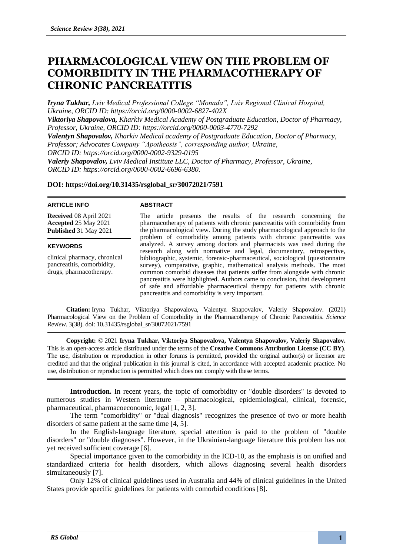# **PHARMACOLOGICAL VIEW ON THE PROBLEM OF COMORBIDITY IN THE PHARMACOTHERAPY OF CHRONIC PANCREATITIS**

*Iryna Tukhar, Lviv Medical Professional College "Monada", Lviv Regional Clinical Hospital, Ukraine, ORCID ID: https://orcid.org/0000-0002-6827-402X*

*Viktoriya Shapovalova, Kharkiv Medical Academy of Postgraduate Education, Doctor of Pharmacy, Professor, Ukraine, ORCID ID: https://orcid.org/0000-0003-4770-7292*

*Valentyn Shapovalov, Kharkiv Medical academy of Postgraduate Education, Doctor of Pharmacy, Professor; Advocates Company "Apotheosis", corresponding author, Ukraine, ORCID ID: https://orcid.org/0000-0002-9329-0195*

*Valeriy Shapovalov, Lviv Medical Institute LLC, Doctor of Pharmacy, Professor, Ukraine, ORCID ID: https://orcid.org/0000-0002-6696-6380.*

## **DOI: https://doi.org/10.31435/rsglobal\_sr/30072021/7591**

#### **ARTICLE INFO**

#### **ABSTRACT**

**Received** 08 April 2021 **Accepted** 25 May 2021 **Published** 31 May 2021

### **KEYWORDS**

clinical pharmacy, chronical pancreatitis, comorbidity, drugs, pharmacotherapy.

The article presents the results of the research concerning the pharmacotherapy of patients with chronic pancreatitis with comorbidity from the pharmacological view. During the study pharmacological approach to the problem of comorbidity among patients with chronic pancreatitis was analyzed. A survey among doctors and pharmacists was used during the research along with normative and legal, documentary, retrospective, bibliographic, systemic, forensic-pharmaceutical, sociological (questionnaire survey), comparative, graphic, mathematical analysis methods. The most common comorbid diseases that patients suffer from alongside with chronic pancreatitis were highlighted. Authors came to conclusion, that development of safe and affordable pharmaceutical therapy for patients with chronic pancreatitis and comorbidity is very important.

**Citation:** Iryna Tukhar, Viktoriya Shapovalova, Valentyn Shapovalov, Valeriy Shapovalov. (2021) Pharmacological View on the Problem of Comorbidity in the Pharmacotherapy of Chronic Pancreatitis. *Science Review*. 3(38). doi: 10.31435/rsglobal\_sr/30072021/7591

**Copyright:** © 2021 **Iryna Tukhar, Viktoriya Shapovalova, Valentyn Shapovalov, Valeriy Shapovalov.** This is an open-access article distributed under the terms of the **Creative Commons Attribution License (CC BY)**. The use, distribution or reproduction in other forums is permitted, provided the original author(s) or licensor are credited and that the original publication in this journal is cited, in accordance with accepted academic practice. No use, distribution or reproduction is permitted which does not comply with these terms.

**Introduction.** In recent years, the topic of comorbidity or "double disorders" is devoted to numerous studies in Western literature – pharmacological, epidemiological, clinical, forensic, pharmaceutical, pharmacoeconomic, legal [1, 2, 3].

The term "comorbidity" or "dual diagnosis" recognizes the presence of two or more health disorders of same patient at the same time [4, 5].

In the English-language literature, special attention is paid to the problem of "double disorders" or "double diagnoses". However, in the Ukrainian-language literature this problem has not yet received sufficient coverage [6].

Special importance given to the comorbidity in the ICD-10, as the emphasis is on unified and standardized criteria for health disorders, which allows diagnosing several health disorders simultaneously [7].

Only 12% of clinical guidelines used in Australia and 44% of clinical guidelines in the United States provide specific guidelines for patients with comorbid conditions [8].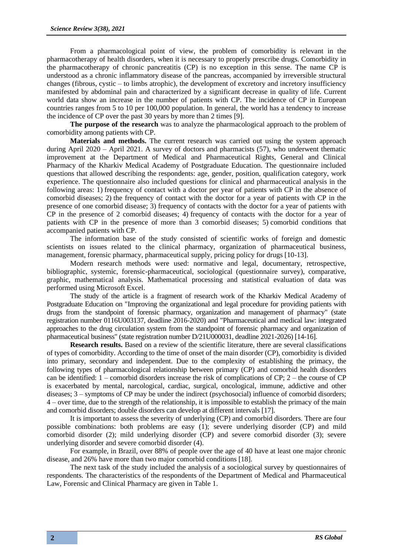From a pharmacological point of view, the problem of comorbidity is relevant in the pharmacotherapy of health disorders, when it is necessary to properly prescribe drugs. Comorbidity in the pharmacotherapy of chronic pancreatitis (CP) is no exception in this sense. The name CP is understood as a chronic inflammatory disease of the pancreas, accompanied by irreversible structural changes (fibrous, cystic – to limbs atrophic), the development of excretory and incretory insufficiency manifested by abdominal pain and characterized by a significant decrease in quality of life. Current world data show an increase in the number of patients with CP. The incidence of CP in European countries ranges from 5 to 10 per 100,000 population. In general, the world has a tendency to increase the incidence of CP over the past 30 years by more than 2 times [9].

**The purpose of the research** was to analyze the pharmacological approach to the problem of comorbidity among patients with CP.

**Materials and methods.** The current research was carried out using the system approach during April 2020 – April 2021. A survey of doctors and pharmacists (57), who underwent thematic improvement at the Department of Medical and Pharmaceutical Rights, General and Clinical Pharmacy of the Kharkiv Medical Academy of Postgraduate Education. The questionnaire included questions that allowed describing the respondents: age, gender, position, qualification category, work experience. The questionnaire also included questions for clinical and pharmaceutical analysis in the following areas: 1) frequency of contact with a doctor per year of patients with CP in the absence of comorbid diseases; 2) the frequency of contact with the doctor for a year of patients with CP in the presence of one comorbid disease; 3) frequency of contacts with the doctor for a year of patients with CP in the presence of 2 comorbid diseases; 4) frequency of contacts with the doctor for a year of patients with CP in the presence of more than 3 comorbid diseases; 5) comorbid conditions that accompanied patients with CP.

The information base of the study consisted of scientific works of foreign and domestic scientists on issues related to the clinical pharmacy, organization of pharmaceutical business, management, forensic pharmacy, pharmaceutical supply, pricing policy for drugs [10-13].

Modern research methods were used: normative and legal, documentary, retrospective, bibliographic, systemic, forensic-pharmaceutical, sociological (questionnaire survey), comparative, graphic, mathematical analysis. Mathematical processing and statistical evaluation of data was performed using Microsoft Excel.

The study of the article is a fragment of research work of the Kharkiv Medical Academy of Postgraduate Education on "Improving the organizational and legal procedure for providing patients with drugs from the standpoint of forensic pharmacy, organization and management of pharmacy" (state registration number 0116U003137, deadline 2016-2020) and "Pharmaceutical and medical law: integrated approaches to the drug circulation system from the standpoint of forensic pharmacy and organization of pharmaceutical business" (state registration number D/21U000031, deadline 2021-2026) [14-16].

**Research results.** Based on a review of the scientific literature, there are several classifications of types of comorbidity. According to the time of onset of the main disorder (CP), comorbidity is divided into primary, secondary and independent. Due to the complexity of establishing the primacy, the following types of pharmacological relationship between primary (CP) and comorbid health disorders can be identified: 1 – comorbid disorders increase the risk of complications of CP; 2 – the course of CP is exacerbated by mental, narcological, cardiac, surgical, oncological, immune, addictive and other diseases; 3 – symptoms of CP may be under the indirect (psychosocial) influence of comorbid disorders; 4 – over time, due to the strength of the relationship, it is impossible to establish the primacy of the main and comorbid disorders; double disorders can develop at different intervals [17].

It is important to assess the severity of underlying (CP) and comorbid disorders. There are four possible combinations: both problems are easy (1); severe underlying disorder (CP) and mild comorbid disorder (2); mild underlying disorder (CP) and severe comorbid disorder (3); severe underlying disorder and severe comorbid disorder (4).

For example, in Brazil, over 88% of people over the age of 40 have at least one major chronic disease, and 26% have more than two major comorbid conditions [18].

The next task of the study included the analysis of a sociological survey by questionnaires of respondents. The characteristics of the respondents of the Department of Medical and Pharmaceutical Law, Forensic and Clinical Pharmacy are given in Table 1.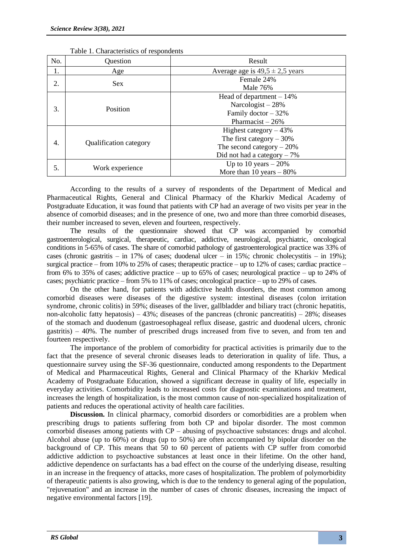| No. | Question               | Result                                                                                                                |  |
|-----|------------------------|-----------------------------------------------------------------------------------------------------------------------|--|
| 1.  | Age                    | Average age is $49.5 \pm 2.5$ years                                                                                   |  |
| 2.  | <b>Sex</b>             | Female 24%<br>Male 76%                                                                                                |  |
| 3.  | Position               | Head of department $-14\%$<br>Narcologist $-28%$<br>Family doctor $-32%$<br>Pharmacist $-26%$                         |  |
| 4.  | Qualification category | Highest category $-43%$<br>The first category $-30\%$<br>The second category $-20\%$<br>Did not had a category $-7\%$ |  |
| 5.  | Work experience        | Up to 10 years $-20\%$<br>More than 10 years $-80\%$                                                                  |  |

|  | Table 1. Characteristics of respondents |  |
|--|-----------------------------------------|--|
|--|-----------------------------------------|--|

According to the results of a survey of respondents of the Department of Medical and Pharmaceutical Rights, General and Clinical Pharmacy of the Kharkiv Medical Academy of Postgraduate Education, it was found that patients with CP had an average of two visits per year in the absence of comorbid diseases; and in the presence of one, two and more than three comorbid diseases, their number increased to seven, eleven and fourteen, respectively.

The results of the questionnaire showed that CP was accompanied by comorbid gastroenterological, surgical, therapeutic, cardiac, addictive, neurological, psychiatric, oncological conditions in 5-65% of cases. The share of comorbid pathology of gastroenterological practice was 33% of cases (chronic gastritis – in 17% of cases; duodenal ulcer – in 15%; chronic cholecystitis – in 19%); surgical practice – from 10% to 25% of cases; therapeutic practice – up to 12% of cases; cardiac practice – from 6% to 35% of cases; addictive practice – up to 65% of cases; neurological practice – up to 24% of cases; psychiatric practice – from 5% to 11% of cases; oncological practice – up to 29% of cases.

On the other hand, for patients with addictive health disorders, the most common among comorbid diseases were diseases of the digestive system: intestinal diseases (colon irritation syndrome, chronic colitis) in 59%; diseases of the liver, gallbladder and biliary tract (chronic hepatitis, non-alcoholic fatty hepatosis) – 43%; diseases of the pancreas (chronic pancreatitis) – 28%; diseases of the stomach and duodenum (gastroesophageal reflux disease, gastric and duodenal ulcers, chronic gastritis) – 40%. The number of prescribed drugs increased from five to seven, and from ten and fourteen respectively.

The importance of the problem of comorbidity for practical activities is primarily due to the fact that the presence of several chronic diseases leads to deterioration in quality of life. Thus, a questionnaire survey using the SF-36 questionnaire, conducted among respondents to the Department of Medical and Pharmaceutical Rights, General and Clinical Pharmacy of the Kharkiv Medical Academy of Postgraduate Education, showed a significant decrease in quality of life, especially in everyday activities. Comorbidity leads to increased costs for diagnostic examinations and treatment, increases the length of hospitalization, is the most common cause of non-specialized hospitalization of patients and reduces the operational activity of health care facilities.

**Discussion.** In clinical pharmacy, comorbid disorders or comorbidities are a problem when prescribing drugs to patients suffering from both CP and bipolar disorder. The most common comorbid diseases among patients with CP – abusing of psychoactive substances: drugs and alcohol. Alcohol abuse (up to 60%) or drugs (up to 50%) are often accompanied by bipolar disorder on the background of CP. This means that 50 to 60 percent of patients with CP suffer from comorbid addictive addiction to psychoactive substances at least once in their lifetime. On the other hand, addictive dependence on surfactants has a bad effect on the course of the underlying disease, resulting in an increase in the frequency of attacks, more cases of hospitalization. The problem of polymorbidity of therapeutic patients is also growing, which is due to the tendency to general aging of the population, "rejuvenation" and an increase in the number of cases of chronic diseases, increasing the impact of negative environmental factors [19].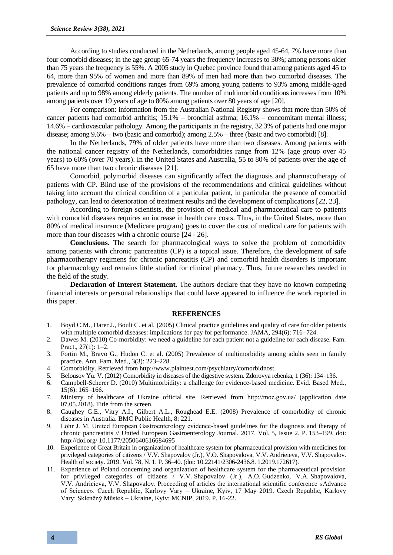According to studies conducted in the Netherlands, among people aged 45-64, 7% have more than four comorbid diseases; in the age group 65-74 years the frequency increases to 30%; among persons older than 75 years the frequency is 55%. A 2005 study in Quebec province found that among patients aged 45 to 64, more than 95% of women and more than 89% of men had more than two comorbid diseases. The prevalence of comorbid conditions ranges from 69% among young patients to 93% among middle-aged patients and up to 98% among elderly patients. The number of multimorbid conditions increases from 10% among patients over 19 years of age to 80% among patients over 80 years of age [20].

For comparison: information from the Australian National Registry shows that more than 50% of cancer patients had comorbid arthritis; 15.1% – bronchial asthma; 16.1% – concomitant mental illness; 14.6% – cardiovascular pathology. Among the participants in the registry, 32.3% of patients had one major disease; among 9.6% – two (basic and comorbid); among 2.5% – three (basic and two comorbid) [8].

In the Netherlands, 79% of older patients have more than two diseases. Among patients with the national cancer registry of the Netherlands, comorbidities range from 12% (age group over 45 years) to 60% (over 70 years). In the United States and Australia, 55 to 80% of patients over the age of 65 have more than two chronic diseases [21].

Comorbid, polymorbid diseases can significantly affect the diagnosis and pharmacotherapy of patients with CP. Blind use of the provisions of the recommendations and clinical guidelines without taking into account the clinical condition of a particular patient, in particular the presence of comorbid pathology, can lead to deterioration of treatment results and the development of complications [22, 23].

According to foreign scientists, the provision of medical and pharmaceutical care to patients with comorbid diseases requires an increase in health care costs. Thus, in the United States, more than 80% of medical insurance (Medicare program) goes to cover the cost of medical care for patients with more than four diseases with a chronic course  $[24 - 26]$ .

**Conclusions.** The search for pharmacological ways to solve the problem of comorbidity among patients with chronic pancreatitis (CP) is a topical issue. Therefore, the development of safe pharmacotherapy regimens for chronic pancreatitis (CP) and comorbid health disorders is important for pharmacology and remains little studied for clinical pharmacy. Thus, future researches needed in the field of the study.

**Declaration of Interest Statement.** The authors declare that they have no known competing financial interests or personal relationships that could have appeared to influence the work reported in this paper.

#### **REFERENCES**

- 1. Boyd C.M., Darer J., Boult C. et al. (2005) Clinical practice guidelines and quality of care for older patients with multiple comorbid diseases: implications for pay for performance. JAMA, 294(6): 716–724.
- 2. Dawes M. (2010) Co-morbidity: we need a guideline for each patient not a guideline for each disease. Fam. Pract., 27(1): 1–2.
- 3. Fortin M., Bravo G., Hudon C. et al. (2005) Prevalence of multimorbidity among adults seen in family practice. Ann. Fam. Med., 3(3): 223–228.
- 4. Comorbidity. Retrieved from http://www.plaintest.com/psychiatry/comorbidnost.
- 5. Belousov Yu. V. (2012) Comorbidity in diseases of the digestive system. Zdorovya rebenka, 1 (36): 134–136.
- 6. Campbell-Scherer D. (2010) Multimorbidity: a challenge for evidence-based medicine. Evid. Based Med., 15(6): 165–166.
- 7. Ministry of healthcare of Ukraine official site. Retrieved from http://moz.gov.ua/ (application date 07.05.2018). Title from the screen.
- 8. Caughey G.E., Vitry A.I., Gilbert A.L., Roughead E.E. (2008) Prevalence of comorbidity of chronic diseases in Australia. BMC Public Health, 8: 221.
- 9. Löhr J. M. United European Gastroenterology evidence-based guidelines for the diagnosis and therapy of chronic pancreatitis // United European Gastroenterology Journal. 2017. Vol. 5, Issue 2. P. 153–199. doi: http://doi.org/ 10.1177/2050640616684695
- 10. Experience of Great Britain in organization of healthcare system for pharmaceutical provision with medicines for privileged categories of citizens / V.V. Shapovalov (Jr.), V.O. Shapovalova, V.V. Andrieieva, V.V. Shapovalov. Health of society. 2019. Vol. 78, N. 1. P. 36–40. (doi: 10.22141/2306-2436.8. 1.2019.172617).
- 11. Experience of Poland concerning and organization of healthcare system for the pharmaceutical provision for privileged categories of citizens / V.V. Shapovalov (Jr.), A.O. Gudzenko, V.A. Shapovalova, V.V. Andrieieva, V.V. Shapovalov. Proceeding of articles the international scientific conference *«*Advance of Science». Czech Republic, Karlovy Vary – Ukraine, Kyiv, 17 May 2019. Czech Republic, Karlovy Vary: Skleněný Můstek – Ukraine, Kyiv: MCNIP, 2019. P. 16-22.